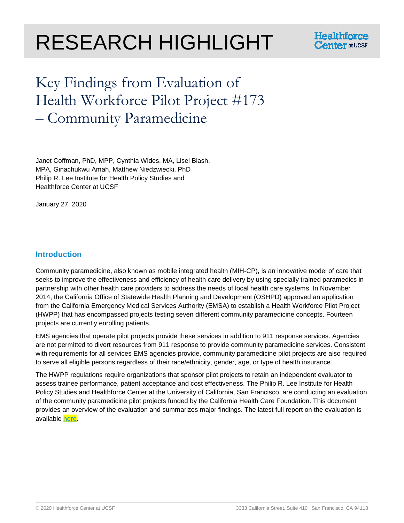# RESEARCH HIGHLIGHT



# Key Findings from Evaluation of Health Workforce Pilot Project #173 – Community Paramedicine

Janet Coffman, PhD, MPP, Cynthia Wides, MA, Lisel Blash, MPA, Ginachukwu Amah, Matthew Niedzwiecki, PhD Philip R. Lee Institute for Health Policy Studies and Healthforce Center at UCSF

January 27, 2020

# **Introduction**

Community paramedicine, also known as mobile integrated health (MIH-CP), is an innovative model of care that seeks to improve the effectiveness and efficiency of health care delivery by using specially trained paramedics in partnership with other health care providers to address the needs of local health care systems. In November 2014, the California Office of Statewide Health Planning and Development (OSHPD) approved an application from the California Emergency Medical Services Authority (EMSA) to establish a Health Workforce Pilot Project (HWPP) that has encompassed projects testing seven different community paramedicine concepts. Fourteen projects are currently enrolling patients.

EMS agencies that operate pilot projects provide these services in addition to 911 response services. Agencies are not permitted to divert resources from 911 response to provide community paramedicine services. Consistent with requirements for all services EMS agencies provide, community paramedicine pilot projects are also required to serve all eligible persons regardless of their race/ethnicity, gender, age, or type of health insurance.

The HWPP regulations require organizations that sponsor pilot projects to retain an independent evaluator to assess trainee performance, patient acceptance and cost effectiveness. The Philip R. Lee Institute for Health Policy Studies and Healthforce Center at the University of California, San Francisco, are conducting an evaluation of the community paramedicine pilot projects funded by the California Health Care Foundation. This document provides an overview of the evaluation and summarizes major findings. The latest full report on the evaluation is available [here.](https://healthforce.ucsf.edu/sites/healthforce.ucsf.edu/files/publication-pdf/6th%20update%20to%20public%20report%20on%20CA%20%20CP%20project_012520.pdf)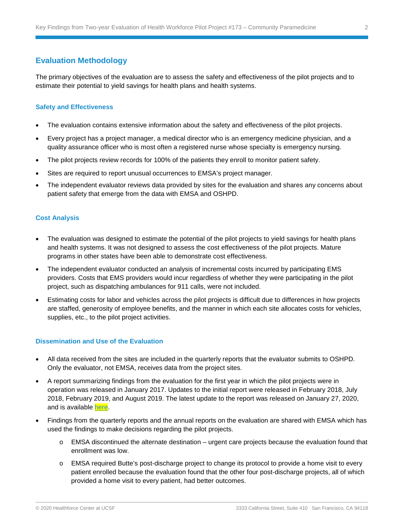# **Evaluation Methodology**

The primary objectives of the evaluation are to assess the safety and effectiveness of the pilot projects and to estimate their potential to yield savings for health plans and health systems.

#### **Safety and Effectiveness**

- The evaluation contains extensive information about the safety and effectiveness of the pilot projects.
- Every project has a project manager, a medical director who is an emergency medicine physician, and a quality assurance officer who is most often a registered nurse whose specialty is emergency nursing.
- The pilot projects review records for 100% of the patients they enroll to monitor patient safety.
- Sites are required to report unusual occurrences to EMSA's project manager.
- The independent evaluator reviews data provided by sites for the evaluation and shares any concerns about patient safety that emerge from the data with EMSA and OSHPD.

#### **Cost Analysis**

- The evaluation was designed to estimate the potential of the pilot projects to yield savings for health plans and health systems. It was not designed to assess the cost effectiveness of the pilot projects. Mature programs in other states have been able to demonstrate cost effectiveness.
- The independent evaluator conducted an analysis of incremental costs incurred by participating EMS providers. Costs that EMS providers would incur regardless of whether they were participating in the pilot project, such as dispatching ambulances for 911 calls, were not included.
- Estimating costs for labor and vehicles across the pilot projects is difficult due to differences in how projects are staffed, generosity of employee benefits, and the manner in which each site allocates costs for vehicles, supplies, etc., to the pilot project activities.

#### **Dissemination and Use of the Evaluation**

- All data received from the sites are included in the quarterly reports that the evaluator submits to OSHPD. Only the evaluator, not EMSA, receives data from the project sites.
- A report summarizing findings from the evaluation for the first year in which the pilot projects were in operation was released in January 2017. Updates to the initial report were released in February 2018, July 2018, February 2019, and August 2019. The latest update to the report was released on January 27, 2020, and is available [here.](https://healthforce.ucsf.edu/sites/healthforce.ucsf.edu/files/publication-pdf/6th%20update%20to%20public%20report%20on%20CA%20%20CP%20project_012520.pdf)
- Findings from the quarterly reports and the annual reports on the evaluation are shared with EMSA which has used the findings to make decisions regarding the pilot projects.
	- $\circ$  EMSA discontinued the alternate destination urgent care projects because the evaluation found that enrollment was low.
	- o EMSA required Butte's post-discharge project to change its protocol to provide a home visit to every patient enrolled because the evaluation found that the other four post-discharge projects, all of which provided a home visit to every patient, had better outcomes.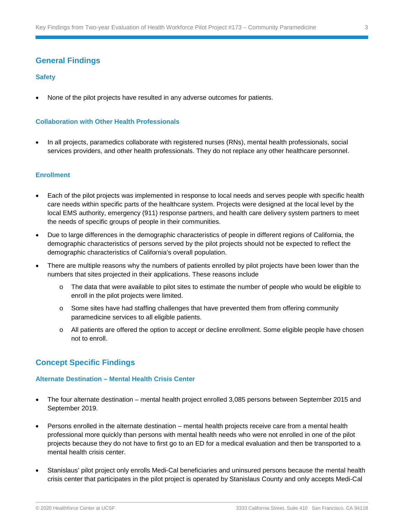### **General Findings**

#### **Safety**

• None of the pilot projects have resulted in any adverse outcomes for patients.

#### **Collaboration with Other Health Professionals**

• In all projects, paramedics collaborate with registered nurses (RNs), mental health professionals, social services providers, and other health professionals. They do not replace any other healthcare personnel.

#### **Enrollment**

- Each of the pilot projects was implemented in response to local needs and serves people with specific health care needs within specific parts of the healthcare system. Projects were designed at the local level by the local EMS authority, emergency (911) response partners, and health care delivery system partners to meet the needs of specific groups of people in their communities.
- Due to large differences in the demographic characteristics of people in different regions of California, the demographic characteristics of persons served by the pilot projects should not be expected to reflect the demographic characteristics of California's overall population.
- There are multiple reasons why the numbers of patients enrolled by pilot projects have been lower than the numbers that sites projected in their applications. These reasons include
	- o The data that were available to pilot sites to estimate the number of people who would be eligible to enroll in the pilot projects were limited.
	- o Some sites have had staffing challenges that have prevented them from offering community paramedicine services to all eligible patients.
	- o All patients are offered the option to accept or decline enrollment. Some eligible people have chosen not to enroll.

# **Concept Specific Findings**

#### **Alternate Destination – Mental Health Crisis Center**

- The four alternate destination mental health project enrolled 3,085 persons between September 2015 and September 2019.
- Persons enrolled in the alternate destination mental health projects receive care from a mental health professional more quickly than persons with mental health needs who were not enrolled in one of the pilot projects because they do not have to first go to an ED for a medical evaluation and then be transported to a mental health crisis center.
- Stanislaus' pilot project only enrolls Medi-Cal beneficiaries and uninsured persons because the mental health crisis center that participates in the pilot project is operated by Stanislaus County and only accepts Medi-Cal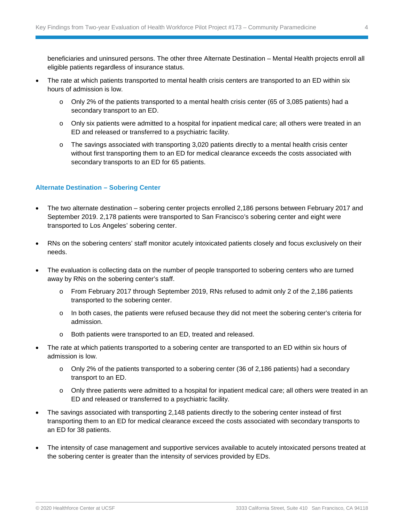beneficiaries and uninsured persons. The other three Alternate Destination – Mental Health projects enroll all eligible patients regardless of insurance status.

- The rate at which patients transported to mental health crisis centers are transported to an ED within six hours of admission is low.
	- o Only 2% of the patients transported to a mental health crisis center (65 of 3,085 patients) had a secondary transport to an ED.
	- o Only six patients were admitted to a hospital for inpatient medical care; all others were treated in an ED and released or transferred to a psychiatric facility.
	- o The savings associated with transporting 3,020 patients directly to a mental health crisis center without first transporting them to an ED for medical clearance exceeds the costs associated with secondary transports to an ED for 65 patients.

#### **Alternate Destination – Sobering Center**

- The two alternate destination sobering center projects enrolled 2,186 persons between February 2017 and September 2019. 2,178 patients were transported to San Francisco's sobering center and eight were transported to Los Angeles' sobering center.
- RNs on the sobering centers' staff monitor acutely intoxicated patients closely and focus exclusively on their needs.
- The evaluation is collecting data on the number of people transported to sobering centers who are turned away by RNs on the sobering center's staff.
	- o From February 2017 through September 2019, RNs refused to admit only 2 of the 2,186 patients transported to the sobering center.
	- $\circ$  In both cases, the patients were refused because they did not meet the sobering center's criteria for admission.
	- o Both patients were transported to an ED, treated and released.
- The rate at which patients transported to a sobering center are transported to an ED within six hours of admission is low.
	- o Only 2% of the patients transported to a sobering center (36 of 2,186 patients) had a secondary transport to an ED.
	- o Only three patients were admitted to a hospital for inpatient medical care; all others were treated in an ED and released or transferred to a psychiatric facility.
- The savings associated with transporting 2,148 patients directly to the sobering center instead of first transporting them to an ED for medical clearance exceed the costs associated with secondary transports to an ED for 38 patients.
- The intensity of case management and supportive services available to acutely intoxicated persons treated at the sobering center is greater than the intensity of services provided by EDs.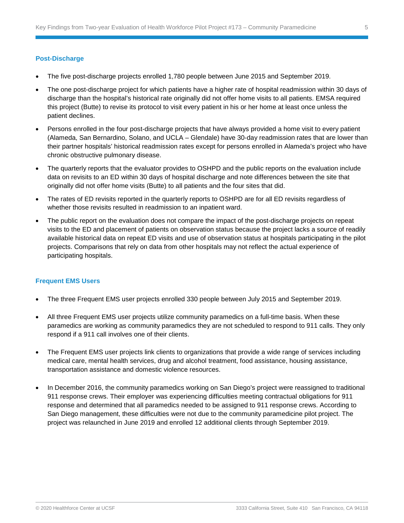#### **Post-Discharge**

- The five post-discharge projects enrolled 1,780 people between June 2015 and September 2019.
- The one post-discharge project for which patients have a higher rate of hospital readmission within 30 days of discharge than the hospital's historical rate originally did not offer home visits to all patients. EMSA required this project (Butte) to revise its protocol to visit every patient in his or her home at least once unless the patient declines.
- Persons enrolled in the four post-discharge projects that have always provided a home visit to every patient (Alameda, San Bernardino, Solano, and UCLA – Glendale) have 30-day readmission rates that are lower than their partner hospitals' historical readmission rates except for persons enrolled in Alameda's project who have chronic obstructive pulmonary disease.
- The quarterly reports that the evaluator provides to OSHPD and the public reports on the evaluation include data on revisits to an ED within 30 days of hospital discharge and note differences between the site that originally did not offer home visits (Butte) to all patients and the four sites that did.
- The rates of ED revisits reported in the quarterly reports to OSHPD are for all ED revisits regardless of whether those revisits resulted in readmission to an inpatient ward.
- The public report on the evaluation does not compare the impact of the post-discharge projects on repeat visits to the ED and placement of patients on observation status because the project lacks a source of readily available historical data on repeat ED visits and use of observation status at hospitals participating in the pilot projects. Comparisons that rely on data from other hospitals may not reflect the actual experience of participating hospitals.

#### **Frequent EMS Users**

- The three Frequent EMS user projects enrolled 330 people between July 2015 and September 2019.
- All three Frequent EMS user projects utilize community paramedics on a full-time basis. When these paramedics are working as community paramedics they are not scheduled to respond to 911 calls. They only respond if a 911 call involves one of their clients.
- The Frequent EMS user projects link clients to organizations that provide a wide range of services including medical care, mental health services, drug and alcohol treatment, food assistance, housing assistance, transportation assistance and domestic violence resources.
- In December 2016, the community paramedics working on San Diego's project were reassigned to traditional 911 response crews. Their employer was experiencing difficulties meeting contractual obligations for 911 response and determined that all paramedics needed to be assigned to 911 response crews. According to San Diego management, these difficulties were not due to the community paramedicine pilot project. The project was relaunched in June 2019 and enrolled 12 additional clients through September 2019.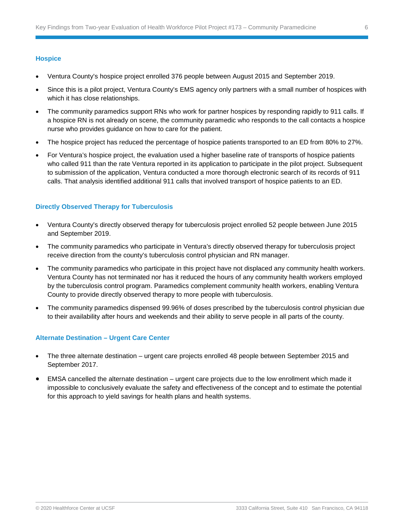#### **Hospice**

- Ventura County's hospice project enrolled 376 people between August 2015 and September 2019.
- Since this is a pilot project, Ventura County's EMS agency only partners with a small number of hospices with which it has close relationships.
- The community paramedics support RNs who work for partner hospices by responding rapidly to 911 calls. If a hospice RN is not already on scene, the community paramedic who responds to the call contacts a hospice nurse who provides guidance on how to care for the patient.
- The hospice project has reduced the percentage of hospice patients transported to an ED from 80% to 27%.
- For Ventura's hospice project, the evaluation used a higher baseline rate of transports of hospice patients who called 911 than the rate Ventura reported in its application to participate in the pilot project. Subsequent to submission of the application, Ventura conducted a more thorough electronic search of its records of 911 calls. That analysis identified additional 911 calls that involved transport of hospice patients to an ED.

#### **Directly Observed Therapy for Tuberculosis**

- Ventura County's directly observed therapy for tuberculosis project enrolled 52 people between June 2015 and September 2019.
- The community paramedics who participate in Ventura's directly observed therapy for tuberculosis project receive direction from the county's tuberculosis control physician and RN manager.
- The community paramedics who participate in this project have not displaced any community health workers. Ventura County has not terminated nor has it reduced the hours of any community health workers employed by the tuberculosis control program. Paramedics complement community health workers, enabling Ventura County to provide directly observed therapy to more people with tuberculosis.
- The community paramedics dispensed 99.96% of doses prescribed by the tuberculosis control physician due to their availability after hours and weekends and their ability to serve people in all parts of the county.

#### **Alternate Destination – Urgent Care Center**

- The three alternate destination urgent care projects enrolled 48 people between September 2015 and September 2017.
- EMSA cancelled the alternate destination urgent care projects due to the low enrollment which made it impossible to conclusively evaluate the safety and effectiveness of the concept and to estimate the potential for this approach to yield savings for health plans and health systems.